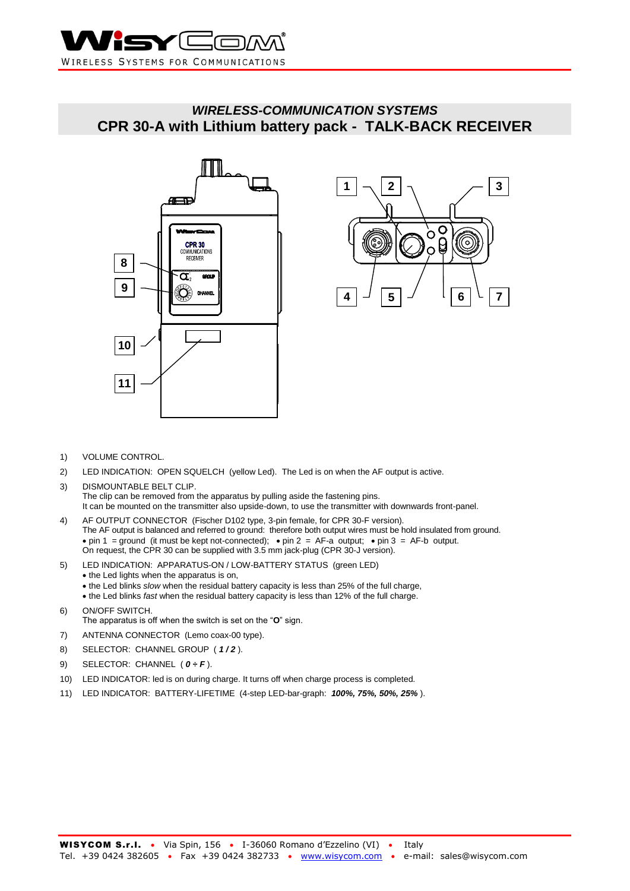

# *WIRELESS-COMMUNICATION SYSTEMS* **CPR 30-A with Lithium battery pack - TALK-BACK RECEIVER**





- 1) VOLUME CONTROL.
- 2) LED INDICATION: OPEN SQUELCH (yellow Led). The Led is on when the AF output is active.
- 3) DISMOUNTABLE BELT CLIP. The clip can be removed from the apparatus by pulling aside the fastening pins. It can be mounted on the transmitter also upside-down, to use the transmitter with downwards front-panel.
- 4) AF OUTPUT CONNECTOR (Fischer D102 type, 3-pin female, for CPR 30-F version). The AF output is balanced and referred to ground: therefore both output wires must be hold insulated from ground.  $\bullet$  pin 1 = ground (it must be kept not-connected);  $\bullet$  pin 2 = AF-a output;  $\bullet$  pin 3 = AF-b output. On request, the CPR 30 can be supplied with 3.5 mm jack-plug (CPR 30-J version).
- 5) LED INDICATION: APPARATUS-ON / LOW-BATTERY STATUS (green LED)
	- the Led lights when the apparatus is on,
	- the Led blinks *slow* when the residual battery capacity is less than 25% of the full charge,
	- the Led blinks *fast* when the residual battery capacity is less than 12% of the full charge.
- 6) ON/OFF SWITCH. The apparatus is off when the switch is set on the "**O**" sign.
- 7) ANTENNA CONNECTOR (Lemo coax-00 type).
- 8) SELECTOR: CHANNEL GROUP ( *1 / 2* ).
- 9) SELECTOR: CHANNEL ( $0 \div F$ ).
- 10) LED INDICATOR: led is on during charge. It turns off when charge process is completed.
- 11) LED INDICATOR: BATTERY-LIFETIME (4-step LED-bar-graph: *100%, 75%, 50%, 25%* ).